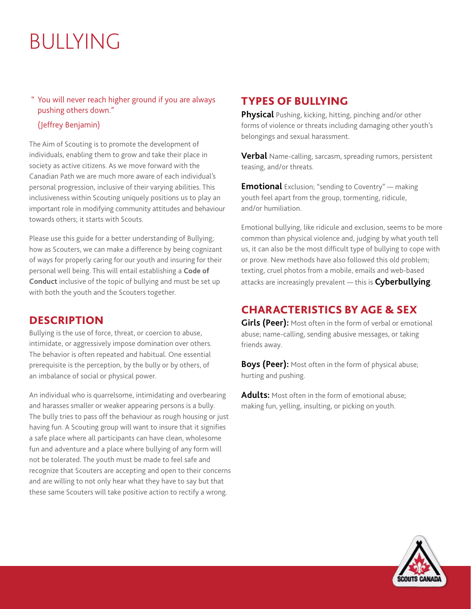# BULLYING

#### " You will never reach higher ground if you are always pushing others down."

#### (Jeffrey Benjamin)

The Aim of Scouting is to promote the development of individuals, enabling them to grow and take their place in society as active citizens. As we move forward with the Canadian Path we are much more aware of each individual's personal progression, inclusive of their varying abilities. This inclusiveness within Scouting uniquely positions us to play an important role in modifying community attitudes and behaviour towards others; it starts with Scouts.

Please use this guide for a better understanding of Bullying; how as Scouters, we can make a difference by being cognizant of ways for properly caring for our youth and insuring for their personal well being. This will entail establishing a **Code of Conduct** inclusive of the topic of bullying and must be set up with both the youth and the Scouters together.

#### **DESCRIPTION**

Bullying is the use of force, threat, or coercion to abuse, intimidate, or aggressively impose domination over others. The behavior is often repeated and habitual. One essential prerequisite is the perception, by the bully or by others, of an imbalance of social or physical power.

An individual who is quarrelsome, intimidating and overbearing and harasses smaller or weaker appearing persons is a bully. The bully tries to pass off the behaviour as rough housing or just having fun. A Scouting group will want to insure that it signifies a safe place where all participants can have clean, wholesome fun and adventure and a place where bullying of any form will not be tolerated. The youth must be made to feel safe and recognize that Scouters are accepting and open to their concerns and are willing to not only hear what they have to say but that these same Scouters will take positive action to rectify a wrong.

# TYPES OF BULLYING

**Physical** Pushing, kicking, hitting, pinching and/or other forms of violence or threats including damaging other youth's belongings and sexual harassment.

**Verbal** Name-calling, sarcasm, spreading rumors, persistent teasing, and/or threats.

**Emotional** Exclusion; "sending to Coventry" — making youth feel apart from the group, tormenting, ridicule, and/or humiliation.

Emotional bullying, like ridicule and exclusion, seems to be more common than physical violence and, judging by what youth tell us, it can also be the most difficult type of bullying to cope with or prove. New methods have also followed this old problem; texting, cruel photos from a mobile, emails and web-based attacks are increasingly prevalent — this is **Cyberbullying**.

# CHARACTERISTICS BY AGE & SEX

**Girls (Peer):** Most often in the form of verbal or emotional abuse; name-calling, sending abusive messages, or taking friends away.

**Boys (Peer):** Most often in the form of physical abuse; hurting and pushing.

**Adults:** Most often in the form of emotional abuse; making fun, yelling, insulting, or picking on youth.